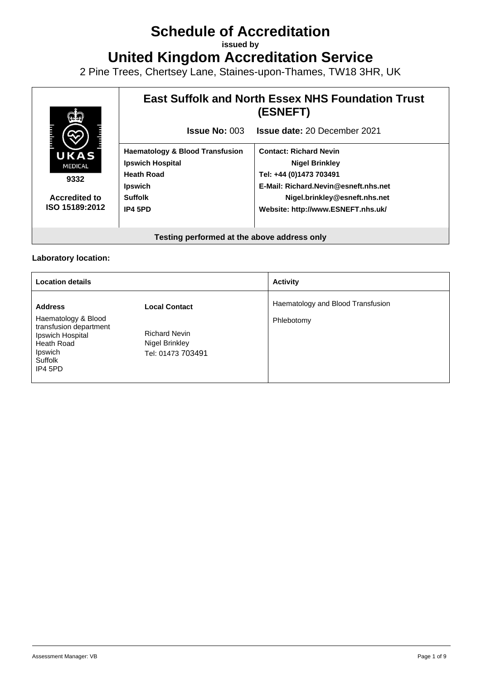# **Schedule of Accreditation**

**issued by**

**United Kingdom Accreditation Service**

2 Pine Trees, Chertsey Lane, Staines-upon-Thames, TW18 3HR, UK



#### **Laboratory location:**

| <b>Location details</b>                                                                                          |                                                             | <b>Activity</b>                   |
|------------------------------------------------------------------------------------------------------------------|-------------------------------------------------------------|-----------------------------------|
| <b>Address</b>                                                                                                   | <b>Local Contact</b>                                        | Haematology and Blood Transfusion |
| Haematology & Blood<br>transfusion department<br>Ipswich Hospital<br>Heath Road<br>Ipswich<br>Suffolk<br>IP4 5PD | <b>Richard Nevin</b><br>Nigel Brinkley<br>Tel: 01473 703491 | Phlebotomy                        |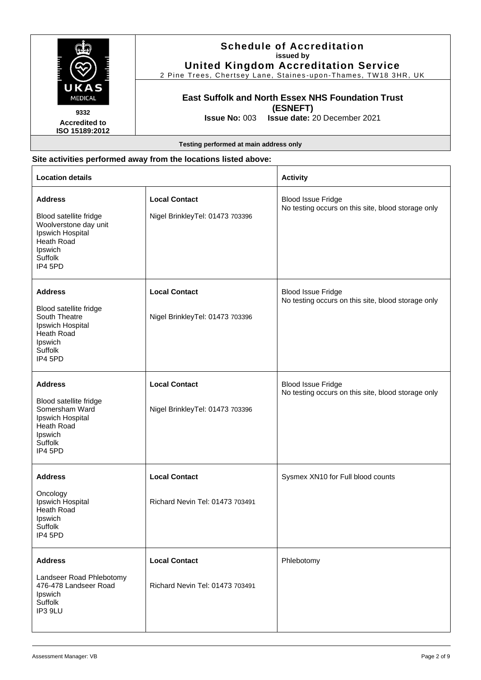|                                                                          | <b>Schedule of Accreditation</b><br>issued by<br><b>United Kingdom Accreditation Service</b><br>2 Pine Trees, Chertsey Lane, Staines-upon-Thames, TW18 3HR, UK |
|--------------------------------------------------------------------------|----------------------------------------------------------------------------------------------------------------------------------------------------------------|
| UKAS<br><b>MEDICAL</b><br>9332<br><b>Accredited to</b><br>ISO 15189:2012 | <b>East Suffolk and North Essex NHS Foundation Trust</b><br>(ESNEFT)<br><b>Issue No: 003 Issue date: 20 December 2021</b>                                      |
|                                                                          | Testing performed at main address only                                                                                                                         |

# **Site activities performed away from the locations listed above:**

| <b>Location details</b>                                                                                                              |                                                         | <b>Activity</b>                                                                 |
|--------------------------------------------------------------------------------------------------------------------------------------|---------------------------------------------------------|---------------------------------------------------------------------------------|
| <b>Address</b><br>Blood satellite fridge<br>Woolverstone day unit<br>Ipswich Hospital<br>Heath Road<br>Ipswich<br>Suffolk<br>IP4 5PD | <b>Local Contact</b><br>Nigel BrinkleyTel: 01473 703396 | <b>Blood Issue Fridge</b><br>No testing occurs on this site, blood storage only |
| <b>Address</b><br>Blood satellite fridge<br>South Theatre<br>Ipswich Hospital<br>Heath Road<br>Ipswich<br>Suffolk<br>IP4 5PD         | <b>Local Contact</b><br>Nigel BrinkleyTel: 01473 703396 | <b>Blood Issue Fridge</b><br>No testing occurs on this site, blood storage only |
| <b>Address</b><br>Blood satellite fridge<br>Somersham Ward<br>Ipswich Hospital<br>Heath Road<br>Ipswich<br>Suffolk<br>IP4 5PD        | <b>Local Contact</b><br>Nigel BrinkleyTel: 01473 703396 | <b>Blood Issue Fridge</b><br>No testing occurs on this site, blood storage only |
| <b>Address</b><br>Oncology<br>Ipswich Hospital<br>Heath Road<br>Ipswich<br>Suffolk<br>IP4 5PD                                        | <b>Local Contact</b><br>Richard Nevin Tel: 01473 703491 | Sysmex XN10 for Full blood counts                                               |
| <b>Address</b><br>Landseer Road Phlebotomy<br>476-478 Landseer Road<br>Ipswich<br>Suffolk<br>IP3 9LU                                 | <b>Local Contact</b><br>Richard Nevin Tel: 01473 703491 | Phlebotomy                                                                      |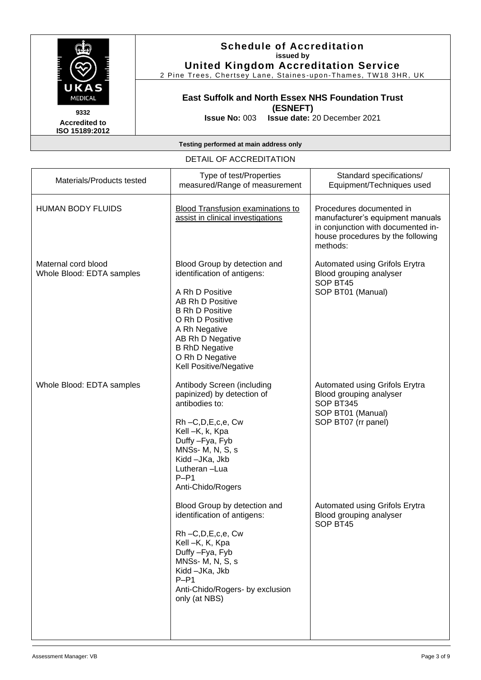

2 Pine Trees, Chertsey Lane, Staines -upon -Thames, TW18 3HR, UK

#### **East Suffolk and North Essex NHS Foundation Trust (ESNEFT)**

**Issue No:** 003 **Issue date:** 20 December 2021

**Accredited to ISO 15189:2012** 

#### **Testing performed at main address only**

#### DETAIL OF ACCREDITATION

| Materials/Products tested                        | Type of test/Properties<br>measured/Range of measurement                                                                                                                                                                                                   | Standard specifications/<br>Equipment/Techniques used                                                                                               |
|--------------------------------------------------|------------------------------------------------------------------------------------------------------------------------------------------------------------------------------------------------------------------------------------------------------------|-----------------------------------------------------------------------------------------------------------------------------------------------------|
| <b>HUMAN BODY FLUIDS</b>                         | <b>Blood Transfusion examinations to</b><br>assist in clinical investigations                                                                                                                                                                              | Procedures documented in<br>manufacturer's equipment manuals<br>in conjunction with documented in-<br>house procedures by the following<br>methods: |
| Maternal cord blood<br>Whole Blood: EDTA samples | Blood Group by detection and<br>identification of antigens:<br>A Rh D Positive<br>AB Rh D Positive<br><b>B Rh D Positive</b><br>O Rh D Positive<br>A Rh Negative<br>AB Rh D Negative<br><b>B RhD Negative</b><br>O Rh D Negative<br>Kell Positive/Negative | Automated using Grifols Erytra<br>Blood grouping analyser<br>SOP BT45<br>SOP BT01 (Manual)                                                          |
| Whole Blood: EDTA samples                        | Antibody Screen (including<br>papinized) by detection of<br>antibodies to:<br>Rh-C,D,E,c,e, Cw<br>Kell -K, k, Kpa<br>Duffy - Fya, Fyb<br>MNSs-M, N, S, s<br>Kidd-JKa, Jkb<br>Lutheran-Lua<br>$P-P1$<br>Anti-Chido/Rogers                                   | Automated using Grifols Erytra<br>Blood grouping analyser<br>SOP BT345<br>SOP BT01 (Manual)<br>SOP BT07 (rr panel)                                  |
|                                                  | Blood Group by detection and<br>identification of antigens:<br>Rh-C,D,E,c,e, Cw<br>Kell-K, K, Kpa<br>Duffy - Fya, Fyb<br>MNSs-M, N, S, s<br>Kidd-JKa, Jkb<br>$P-P1$<br>Anti-Chido/Rogers- by exclusion<br>only (at NBS)                                    | Automated using Grifols Erytra<br>Blood grouping analyser<br>SOP BT45                                                                               |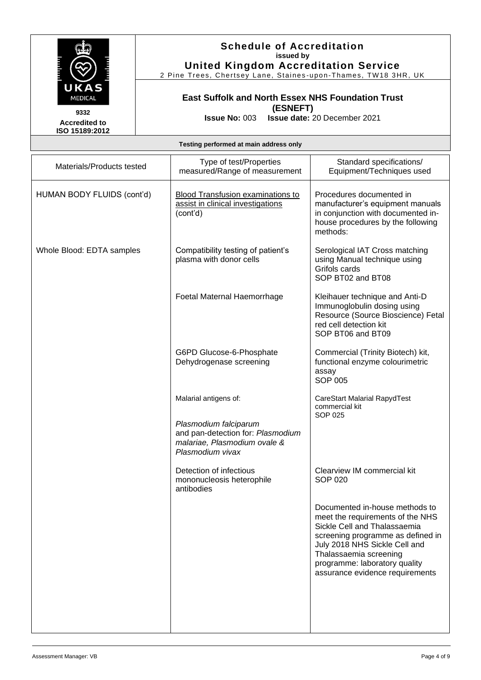

2 Pine Trees, Chertsey Lane, Staines-upon-Thames, TW18 3HR, UK

# **East Suffolk and North Essex NHS Foundation Trust (ESNEFT)**

**Accredited to ISO 15189:2012**  **Issue No:** 003 **Issue date:** 20 December 2021

#### **Testing performed at main address only**

| Materials/Products tested  | Type of test/Properties<br>measured/Range of measurement                                                                                | Standard specifications/<br>Equipment/Techniques used                                                                                                                                                                                                                  |
|----------------------------|-----------------------------------------------------------------------------------------------------------------------------------------|------------------------------------------------------------------------------------------------------------------------------------------------------------------------------------------------------------------------------------------------------------------------|
| HUMAN BODY FLUIDS (cont'd) | Blood Transfusion examinations to<br>assist in clinical investigations<br>(cont'd)                                                      | Procedures documented in<br>manufacturer's equipment manuals<br>in conjunction with documented in-<br>house procedures by the following<br>methods:                                                                                                                    |
| Whole Blood: EDTA samples  | Compatibility testing of patient's<br>plasma with donor cells                                                                           | Serological IAT Cross matching<br>using Manual technique using<br>Grifols cards<br>SOP BT02 and BT08                                                                                                                                                                   |
|                            | Foetal Maternal Haemorrhage                                                                                                             | Kleihauer technique and Anti-D<br>Immunoglobulin dosing using<br>Resource (Source Bioscience) Fetal<br>red cell detection kit<br>SOP BT06 and BT09                                                                                                                     |
|                            | G6PD Glucose-6-Phosphate<br>Dehydrogenase screening                                                                                     | Commercial (Trinity Biotech) kit,<br>functional enzyme colourimetric<br>assay<br><b>SOP 005</b>                                                                                                                                                                        |
|                            | Malarial antigens of:<br>Plasmodium falciparum<br>and pan-detection for: Plasmodium<br>malariae, Plasmodium ovale &<br>Plasmodium vivax | <b>CareStart Malarial RapydTest</b><br>commercial kit<br><b>SOP 025</b>                                                                                                                                                                                                |
|                            | Detection of infectious<br>mononucleosis heterophile<br>antibodies                                                                      | Clearview IM commercial kit<br><b>SOP 020</b>                                                                                                                                                                                                                          |
|                            |                                                                                                                                         | Documented in-house methods to<br>meet the requirements of the NHS<br>Sickle Cell and Thalassaemia<br>screening programme as defined in<br>July 2018 NHS Sickle Cell and<br>Thalassaemia screening<br>programme: laboratory quality<br>assurance evidence requirements |
|                            |                                                                                                                                         |                                                                                                                                                                                                                                                                        |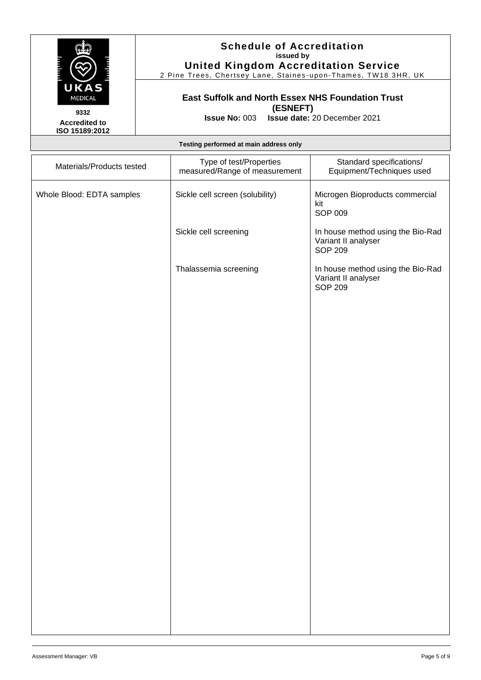

2 Pine Trees, Chertsey Lane, Staines -upon -Thames, TW18 3HR, UK

## **East Suffolk and North Essex NHS Foundation Trust (ESNEFT)**

**Issue No:** 003 **Issue date:** 20 December 2021

**Accredited to ISO 15189:2012** 

| Testing performed at main address only |  |  |
|----------------------------------------|--|--|
|                                        |  |  |

| Materials/Products tested | Type of test/Properties<br>measured/Range of measurement | Standard specifications/<br>Equipment/Techniques used                      |
|---------------------------|----------------------------------------------------------|----------------------------------------------------------------------------|
| Whole Blood: EDTA samples | Sickle cell screen (solubility)                          | Microgen Bioproducts commercial<br>kit<br>SOP 009                          |
|                           | Sickle cell screening                                    | In house method using the Bio-Rad<br>Variant II analyser<br><b>SOP 209</b> |
|                           | Thalassemia screening                                    | In house method using the Bio-Rad<br>Variant II analyser<br><b>SOP 209</b> |
|                           |                                                          |                                                                            |
|                           |                                                          |                                                                            |
|                           |                                                          |                                                                            |
|                           |                                                          |                                                                            |
|                           |                                                          |                                                                            |
|                           |                                                          |                                                                            |
|                           |                                                          |                                                                            |
|                           |                                                          |                                                                            |
|                           |                                                          |                                                                            |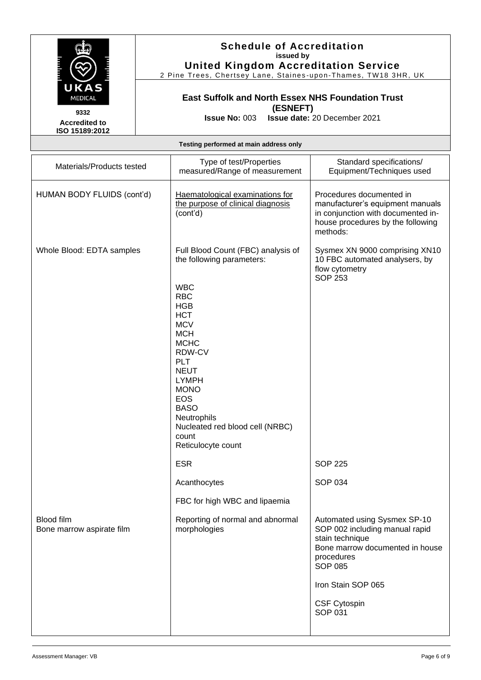

2 Pine Trees, Chertsey Lane, Staines-upon-Thames, TW18 3HR, UK

# **East Suffolk and North Essex NHS Foundation Trust (ESNEFT)**

**Accredited to ISO 15189:2012**  **Issue No:** 003 **Issue date:** 20 December 2021

#### **Testing performed at main address only**

| Materials/Products tested                      | Type of test/Properties<br>measured/Range of measurement                                                                                                                                                                                                                                                                                               | Standard specifications/<br>Equipment/Techniques used                                                                                                                                                        |
|------------------------------------------------|--------------------------------------------------------------------------------------------------------------------------------------------------------------------------------------------------------------------------------------------------------------------------------------------------------------------------------------------------------|--------------------------------------------------------------------------------------------------------------------------------------------------------------------------------------------------------------|
| HUMAN BODY FLUIDS (cont'd)                     | Haematological examinations for<br>the purpose of clinical diagnosis<br>(cont'd)                                                                                                                                                                                                                                                                       | Procedures documented in<br>manufacturer's equipment manuals<br>in conjunction with documented in-<br>house procedures by the following<br>methods:                                                          |
| Whole Blood: EDTA samples                      | Full Blood Count (FBC) analysis of<br>the following parameters:<br><b>WBC</b><br><b>RBC</b><br><b>HGB</b><br><b>HCT</b><br><b>MCV</b><br><b>MCH</b><br><b>MCHC</b><br>RDW-CV<br><b>PLT</b><br><b>NEUT</b><br><b>LYMPH</b><br><b>MONO</b><br><b>EOS</b><br><b>BASO</b><br>Neutrophils<br>Nucleated red blood cell (NRBC)<br>count<br>Reticulocyte count | Sysmex XN 9000 comprising XN10<br>10 FBC automated analysers, by<br>flow cytometry<br><b>SOP 253</b>                                                                                                         |
|                                                | <b>ESR</b>                                                                                                                                                                                                                                                                                                                                             | <b>SOP 225</b>                                                                                                                                                                                               |
|                                                | Acanthocytes                                                                                                                                                                                                                                                                                                                                           | <b>SOP 034</b>                                                                                                                                                                                               |
|                                                | FBC for high WBC and lipaemia                                                                                                                                                                                                                                                                                                                          |                                                                                                                                                                                                              |
| <b>Blood film</b><br>Bone marrow aspirate film | Reporting of normal and abnormal<br>morphologies                                                                                                                                                                                                                                                                                                       | Automated using Sysmex SP-10<br>SOP 002 including manual rapid<br>stain technique<br>Bone marrow documented in house<br>procedures<br><b>SOP 085</b><br>Iron Stain SOP 065<br><b>CSF Cytospin</b><br>SOP 031 |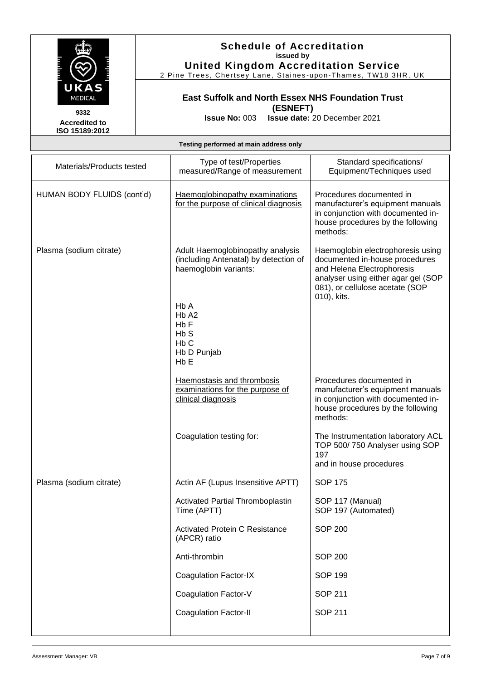

2 Pine Trees, Chertsey Lane, Staines -upon -Thames, TW18 3HR, UK

## **East Suffolk and North Essex NHS Foundation Trust (ESNEFT)**

**Issue No:** 003 **Issue date:** 20 December 2021

**Accredited to ISO 15189:2012** 

**Testing performed at main address only**

| Materials/Products tested  | Type of test/Properties<br>measured/Range of measurement                                                                                                                                                                      | Standard specifications/<br>Equipment/Techniques used                                                                                                                                      |
|----------------------------|-------------------------------------------------------------------------------------------------------------------------------------------------------------------------------------------------------------------------------|--------------------------------------------------------------------------------------------------------------------------------------------------------------------------------------------|
| HUMAN BODY FLUIDS (cont'd) | Haemoglobinopathy examinations<br>for the purpose of clinical diagnosis                                                                                                                                                       | Procedures documented in<br>manufacturer's equipment manuals<br>in conjunction with documented in-<br>house procedures by the following<br>methods:                                        |
| Plasma (sodium citrate)    | Adult Haemoglobinopathy analysis<br>(including Antenatal) by detection of<br>haemoglobin variants:<br>H <sub>b</sub> A<br>H <sub>b</sub> A <sub>2</sub><br>Hb F<br>HbS<br>H <sub>b</sub> C<br>Hb D Punjab<br>H <sub>b</sub> E | Haemoglobin electrophoresis using<br>documented in-house procedures<br>and Helena Electrophoresis<br>analyser using either agar gel (SOP<br>081), or cellulose acetate (SOP<br>010), kits. |
|                            | Haemostasis and thrombosis<br>examinations for the purpose of<br>clinical diagnosis                                                                                                                                           | Procedures documented in<br>manufacturer's equipment manuals<br>in conjunction with documented in-<br>house procedures by the following<br>methods:                                        |
|                            | Coagulation testing for:                                                                                                                                                                                                      | The Instrumentation laboratory ACL<br>TOP 500/750 Analyser using SOP<br>197<br>and in house procedures                                                                                     |
| Plasma (sodium citrate)    | Actin AF (Lupus Insensitive APTT)                                                                                                                                                                                             | <b>SOP 175</b>                                                                                                                                                                             |
|                            | <b>Activated Partial Thromboplastin</b><br>Time (APTT)                                                                                                                                                                        | SOP 117 (Manual)<br>SOP 197 (Automated)                                                                                                                                                    |
|                            | Activated Protein C Resistance<br>(APCR) ratio                                                                                                                                                                                | <b>SOP 200</b>                                                                                                                                                                             |
|                            | Anti-thrombin                                                                                                                                                                                                                 | <b>SOP 200</b>                                                                                                                                                                             |
|                            | <b>Coagulation Factor-IX</b>                                                                                                                                                                                                  | <b>SOP 199</b>                                                                                                                                                                             |
|                            | Coagulation Factor-V                                                                                                                                                                                                          | <b>SOP 211</b>                                                                                                                                                                             |
|                            | <b>Coagulation Factor-II</b>                                                                                                                                                                                                  | <b>SOP 211</b>                                                                                                                                                                             |
|                            |                                                                                                                                                                                                                               |                                                                                                                                                                                            |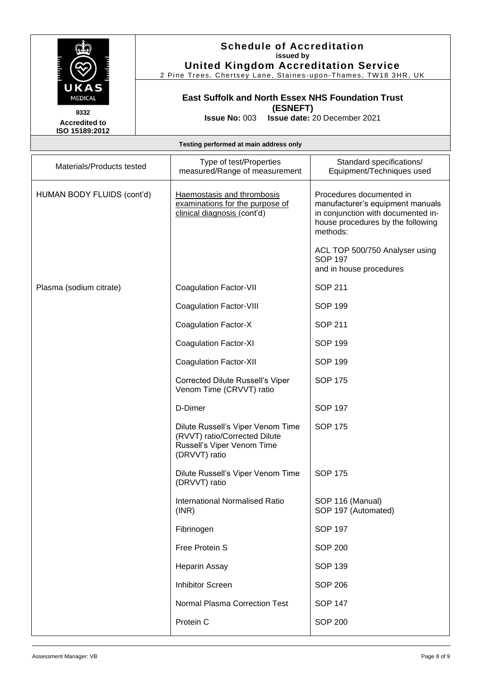

2 Pine Trees, Chertsey Lane, Staines -upon -Thames, TW18 3HR, UK

## **East Suffolk and North Essex NHS Foundation Trust (ESNEFT)**

**Issue No:** 003 **Issue date:** 20 December 2021

**Accredited to ISO 15189:2012** 

| Testing performed at main address only |  |  |  |
|----------------------------------------|--|--|--|
|----------------------------------------|--|--|--|

| Materials/Products tested  | Type of test/Properties<br>measured/Range of measurement                                                          | Standard specifications/<br>Equipment/Techniques used                                                                                               |
|----------------------------|-------------------------------------------------------------------------------------------------------------------|-----------------------------------------------------------------------------------------------------------------------------------------------------|
| HUMAN BODY FLUIDS (cont'd) | Haemostasis and thrombosis<br>examinations for the purpose of<br>clinical diagnosis (cont'd)                      | Procedures documented in<br>manufacturer's equipment manuals<br>in conjunction with documented in-<br>house procedures by the following<br>methods: |
|                            |                                                                                                                   | ACL TOP 500/750 Analyser using<br><b>SOP 197</b><br>and in house procedures                                                                         |
| Plasma (sodium citrate)    | <b>Coagulation Factor-VII</b>                                                                                     | <b>SOP 211</b>                                                                                                                                      |
|                            | <b>Coagulation Factor-VIII</b>                                                                                    | <b>SOP 199</b>                                                                                                                                      |
|                            | <b>Coagulation Factor-X</b>                                                                                       | <b>SOP 211</b>                                                                                                                                      |
|                            | <b>Coagulation Factor-XI</b>                                                                                      | <b>SOP 199</b>                                                                                                                                      |
|                            | <b>Coagulation Factor-XII</b>                                                                                     | <b>SOP 199</b>                                                                                                                                      |
|                            | <b>Corrected Dilute Russell's Viper</b><br>Venom Time (CRVVT) ratio                                               | <b>SOP 175</b>                                                                                                                                      |
|                            | D-Dimer                                                                                                           | <b>SOP 197</b>                                                                                                                                      |
|                            | Dilute Russell's Viper Venom Time<br>(RVVT) ratio/Corrected Dilute<br>Russell's Viper Venom Time<br>(DRVVT) ratio | <b>SOP 175</b>                                                                                                                                      |
|                            | Dilute Russell's Viper Venom Time<br>(DRVVT) ratio                                                                | <b>SOP 175</b>                                                                                                                                      |
|                            | <b>International Normalised Ratio</b><br>(INR)                                                                    | SOP 116 (Manual)<br>SOP 197 (Automated)                                                                                                             |
|                            | Fibrinogen                                                                                                        | <b>SOP 197</b>                                                                                                                                      |
|                            | Free Protein S                                                                                                    | <b>SOP 200</b>                                                                                                                                      |
|                            | <b>Heparin Assay</b>                                                                                              | <b>SOP 139</b>                                                                                                                                      |
|                            | <b>Inhibitor Screen</b>                                                                                           | <b>SOP 206</b>                                                                                                                                      |
|                            | Normal Plasma Correction Test                                                                                     | <b>SOP 147</b>                                                                                                                                      |
|                            | Protein C                                                                                                         | <b>SOP 200</b>                                                                                                                                      |